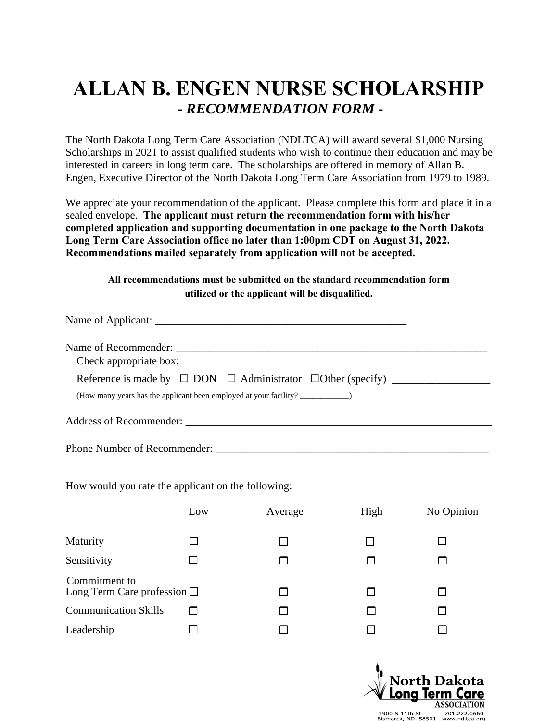## **ALLAN B. ENGEN NURSE SCHOLARSHIP**  *- RECOMMENDATION FORM -*

The North Dakota Long Term Care Association (NDLTCA) will award several \$1,000 Nursing Scholarships in 2021 to assist qualified students who wish to continue their education and may be interested in careers in long term care. The scholarships are offered in memory of Allan B. Engen, Executive Director of the North Dakota Long Term Care Association from 1979 to 1989.

We appreciate your recommendation of the applicant. Please complete this form and place it in a sealed envelope. **The applicant must return the recommendation form with his/her completed application and supporting documentation in one package to the North Dakota Long Term Care Association office no later than 1:00pm CDT on August 31, 2022. Recommendations mailed separately from application will not be accepted.**

## **All recommendations must be submitted on the standard recommendation form utilized or the applicant will be disqualified.**

| Check appropriate box:<br>Reference is made by $\Box$ DON $\Box$ Administrator $\Box$ Other (specify) |  |
|-------------------------------------------------------------------------------------------------------|--|
| (How many years has the applicant been employed at your facility?                                     |  |
| Address of Recommender:                                                                               |  |

How would you rate the applicant on the following:

Phone Number of Recommender:

|                                                      | Low | Average | High | No Opinion |
|------------------------------------------------------|-----|---------|------|------------|
| Maturity                                             |     |         |      |            |
| Sensitivity                                          |     |         |      |            |
| Commitment to<br>Long Term Care profession $\square$ |     |         |      |            |
| <b>Communication Skills</b>                          |     |         |      |            |
| Leadership                                           |     |         |      |            |